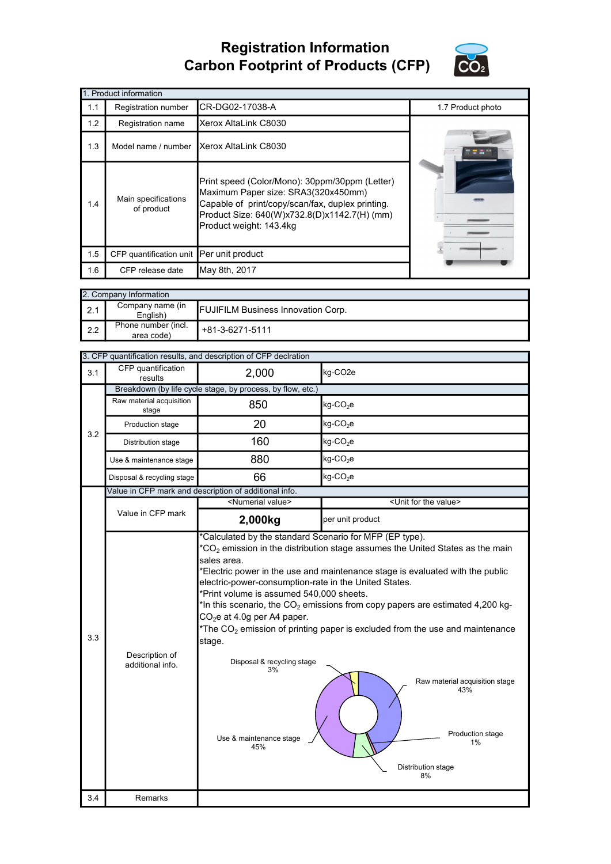## Registration Information Carbon Footprint of Products (CFP)



|     | 1. Product information                   |                                                                                                                                                                                                                      |                   |
|-----|------------------------------------------|----------------------------------------------------------------------------------------------------------------------------------------------------------------------------------------------------------------------|-------------------|
| 1.1 | Registration number                      | CR-DG02-17038-A                                                                                                                                                                                                      | 1.7 Product photo |
| 1.2 | Registration name                        | Xerox AltaLink C8030                                                                                                                                                                                                 |                   |
| 1.3 | Model name / number                      | Xerox AltaLink C8030                                                                                                                                                                                                 |                   |
| 1.4 | Main specifications<br>of product        | Print speed (Color/Mono): 30ppm/30ppm (Letter)<br>Maximum Paper size: SRA3(320x450mm)<br>Capable of print/copy/scan/fax, duplex printing.<br>Product Size: 640(W)x732.8(D)x1142.7(H) (mm)<br>Product weight: 143.4kg |                   |
| 1.5 | CFP quantification unit Per unit product |                                                                                                                                                                                                                      |                   |
| 1.6 | CFP release date                         | May 8th, 2017                                                                                                                                                                                                        |                   |

| 2. Company Information |                                   |                                           |
|------------------------|-----------------------------------|-------------------------------------------|
| $\vert$ 2.1            | Company name (in<br>English)      | <b>FUJIFILM Business Innovation Corp.</b> |
| $\mathsf{I}$ 2.2       | Phone number (incl.<br>area code) | +81-3-6271-5111                           |

|     |                                    | 3. CFP quantification results, and description of CFP declration                                                                                                                                                                 |                                                                                                                                                                                                                                                                                                                                                                          |
|-----|------------------------------------|----------------------------------------------------------------------------------------------------------------------------------------------------------------------------------------------------------------------------------|--------------------------------------------------------------------------------------------------------------------------------------------------------------------------------------------------------------------------------------------------------------------------------------------------------------------------------------------------------------------------|
| 3.1 | CFP quantification<br>results      | 2,000                                                                                                                                                                                                                            | kg-CO <sub>2e</sub>                                                                                                                                                                                                                                                                                                                                                      |
|     |                                    | Breakdown (by life cycle stage, by process, by flow, etc.)                                                                                                                                                                       |                                                                                                                                                                                                                                                                                                                                                                          |
|     | Raw material acquisition<br>stage  | 850                                                                                                                                                                                                                              | kg-CO <sub>2</sub> e                                                                                                                                                                                                                                                                                                                                                     |
| 3.2 | Production stage                   | 20                                                                                                                                                                                                                               | $kg$ -CO <sub>2</sub> e                                                                                                                                                                                                                                                                                                                                                  |
|     | Distribution stage                 | 160                                                                                                                                                                                                                              | $kg$ -CO <sub>2</sub> e                                                                                                                                                                                                                                                                                                                                                  |
|     | Use & maintenance stage            | 880                                                                                                                                                                                                                              | $kg$ -CO <sub>2</sub> e                                                                                                                                                                                                                                                                                                                                                  |
|     | Disposal & recycling stage         | 66                                                                                                                                                                                                                               | $kg$ -CO <sub>2</sub> e                                                                                                                                                                                                                                                                                                                                                  |
|     |                                    | Value in CFP mark and description of additional info.                                                                                                                                                                            |                                                                                                                                                                                                                                                                                                                                                                          |
|     |                                    | <numerial value=""></numerial>                                                                                                                                                                                                   | <unit for="" the="" value=""></unit>                                                                                                                                                                                                                                                                                                                                     |
|     | Value in CFP mark                  | 2,000kg                                                                                                                                                                                                                          | per unit product                                                                                                                                                                                                                                                                                                                                                         |
| 3.3 | Description of<br>additional info. | sales area.<br>electric-power-consumption-rate in the United States.<br>*Print volume is assumed 540,000 sheets.<br>$CO2e$ at 4.0g per A4 paper.<br>stage.<br>Disposal & recycling stage<br>3%<br>Use & maintenance stage<br>45% | *Electric power in the use and maintenance stage is evaluated with the public<br>*In this scenario, the $\mathrm{CO}_2$ emissions from copy papers are estimated 4,200 kg-<br>$*$ The CO <sub>2</sub> emission of printing paper is excluded from the use and maintenance<br>Raw material acquisition stage<br>43%<br>Production stage<br>1%<br>Distribution stage<br>8% |
| 3.4 | Remarks                            |                                                                                                                                                                                                                                  |                                                                                                                                                                                                                                                                                                                                                                          |